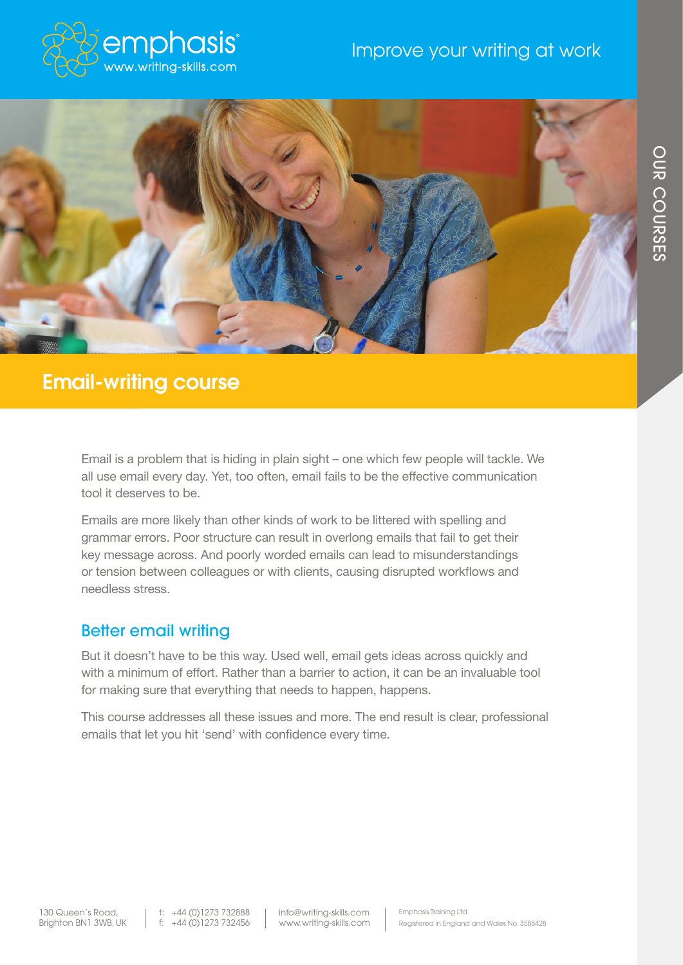



# Email-writing course

Email is a problem that is hiding in plain sight – one which few people will tackle. We all use email every day. Yet, too often, email fails to be the effective communication tool it deserves to be.

Emails are more likely than other kinds of work to be littered with spelling and grammar errors. Poor structure can result in overlong emails that fail to get their key message across. And poorly worded emails can lead to misunderstandings or tension between colleagues or with clients, causing disrupted workflows and needless stress.

#### Better email writing

But it doesn't have to be this way. Used well, email gets ideas across quickly and with a minimum of effort. Rather than a barrier to action, it can be an invaluable tool for making sure that everything that needs to happen, happens.

This course addresses all these issues and more. The end result is clear, professional emails that let you hit 'send' with confidence every time.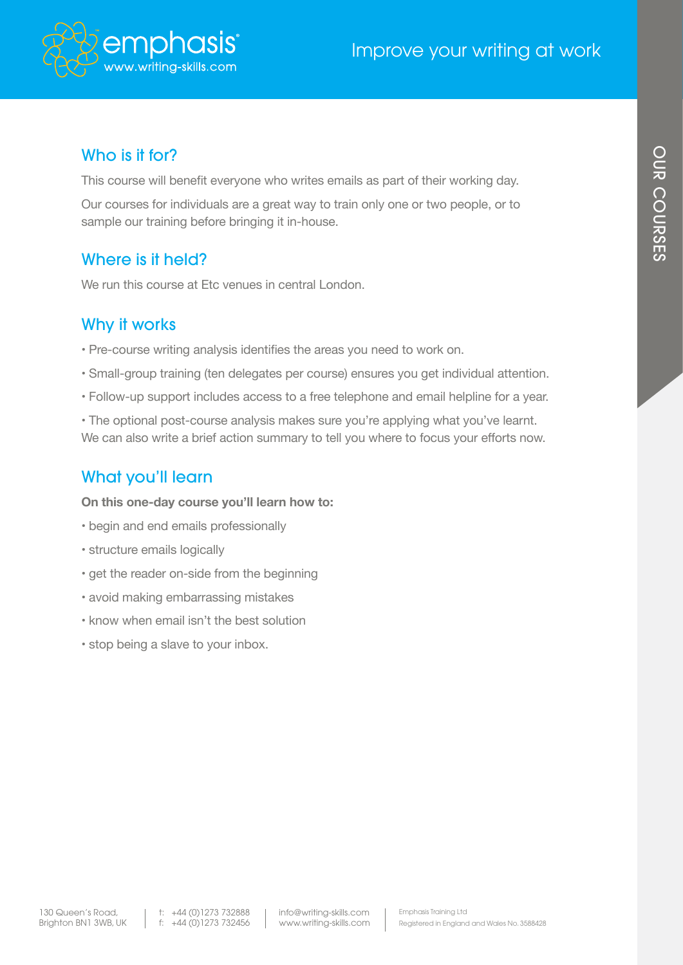

# Improve your writing at work

#### Who is it for?

This course will benefit everyone who writes emails as part of their working day.

Our courses for individuals are a great way to train only one or two people, or to sample our training before bringing it in-house.

#### Where is it held?

We run this course at Etc venues in central London.

#### Why it works

- Pre-course writing analysis identifies the areas you need to work on.
- Small-group training (ten delegates per course) ensures you get individual attention.
- Follow-up support includes access to a free telephone and email helpline for a year.
- The optional post-course analysis makes sure you're applying what you've learnt. We can also write a brief action summary to tell you where to focus your efforts now.

## What you'll learn

**On this one-day course you'll learn how to:**

- begin and end emails professionally
- structure emails logically
- get the reader on-side from the beginning
- avoid making embarrassing mistakes
- know when email isn't the best solution
- stop being a slave to your inbox.